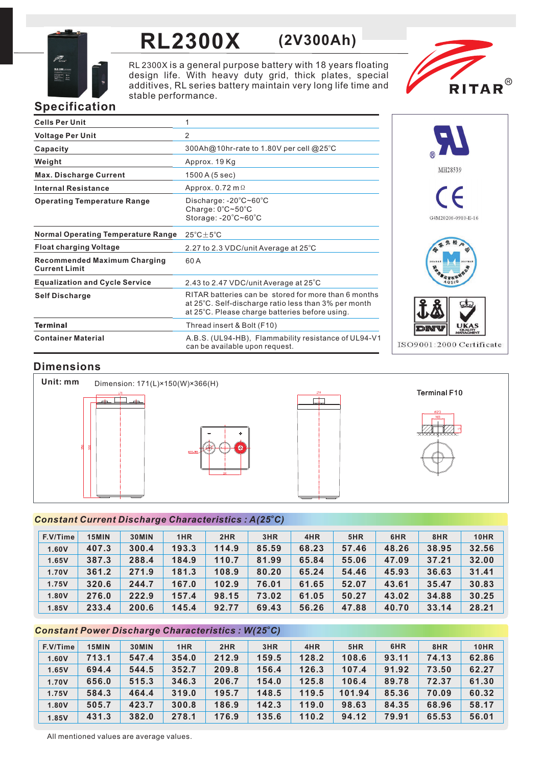

# **RL2300X (2V300Ah)**

RL 2300X is a general purpose battery with 18 years floating design life. With heavy duty grid, thick plates, special additives, RL series battery maintain very long life time and stable performance.



# **Specification**

| <b>Cells Per Unit</b>                                       | 1                                                                                                                                                              |
|-------------------------------------------------------------|----------------------------------------------------------------------------------------------------------------------------------------------------------------|
| <b>Voltage Per Unit</b>                                     | 2                                                                                                                                                              |
| Capacity                                                    | 300Ah@10hr-rate to 1.80V per cell @25°C                                                                                                                        |
| Weight                                                      | Approx. 19 Kg                                                                                                                                                  |
| <b>Max. Discharge Current</b>                               | 1500 A (5 sec)                                                                                                                                                 |
| <b>Internal Resistance</b>                                  | Approx. $0.72$ m $\Omega$                                                                                                                                      |
| <b>Operating Temperature Range</b>                          | Discharge: $-20^{\circ}$ C~60 $^{\circ}$ C<br>Charge: 0°C~50°C<br>Storage: $-20^{\circ}$ C $-60^{\circ}$ C                                                     |
| <b>Normal Operating Temperature Range</b>                   | $25^{\circ}$ C $\pm$ 5 $^{\circ}$ C                                                                                                                            |
| <b>Float charging Voltage</b>                               | 2.27 to 2.3 VDC/unit Average at 25°C                                                                                                                           |
| <b>Recommended Maximum Charging</b><br><b>Current Limit</b> | 60A                                                                                                                                                            |
| <b>Equalization and Cycle Service</b>                       | 2.43 to 2.47 VDC/unit Average at 25°C                                                                                                                          |
| <b>Self Discharge</b>                                       | RITAR batteries can be stored for more than 6 months<br>at 25°C. Self-discharge ratio less than 3% per month<br>at 25°C. Please charge batteries before using. |
| <b>Terminal</b>                                             | Thread insert & Bolt (F10)                                                                                                                                     |
| <b>Container Material</b>                                   | A.B.S. (UL94-HB), Flammability resistance of UL94-V1<br>can be available upon request.                                                                         |



## **Dimensions**



## *<sup>o</sup> Constant Current Discharge Characteristics : A(25 C)*

| F.V/Time | 15MIN | 30MIN | 1HR   | 2HR   | 3HR   | 4HR   | 5HR   | 6HR   | 8HR   | <b>10HR</b> |
|----------|-------|-------|-------|-------|-------|-------|-------|-------|-------|-------------|
| 1.60V    | 407.3 | 300.4 | 193.3 | 114.9 | 85.59 | 68.23 | 57.46 | 48.26 | 38.95 | 32.56       |
| 1.65V    | 387.3 | 288.4 | 184.9 | 110.7 | 81.99 | 65.84 | 55.06 | 47.09 | 37.21 | 32.00       |
| 1.70V    | 361.2 | 271.9 | 181.3 | 108.9 | 80.20 | 65.24 | 54.46 | 45.93 | 36.63 | 31.41       |
| 1.75V    | 320.6 | 244.7 | 167.0 | 102.9 | 76.01 | 61.65 | 52.07 | 43.61 | 35.47 | 30.83       |
| 1.80V    | 276.0 | 222.9 | 157.4 | 98.15 | 73.02 | 61.05 | 50.27 | 43.02 | 34.88 | 30.25       |
| 1.85V    | 233.4 | 200.6 | 145.4 | 92.77 | 69.43 | 56.26 | 47.88 | 40.70 | 33.14 | 28.21       |

## *<sup>o</sup> Constant Power Discharge Characteristics : W(25 C)*

| F.V/Time | 15MIN | 30MIN | 1HR   | 2HR   | 3HR   | 4HR   | 5HR    | 6HR   | 8HR   | <b>10HR</b> |
|----------|-------|-------|-------|-------|-------|-------|--------|-------|-------|-------------|
| 1.60V    | 713.1 | 547.4 | 354.0 | 212.9 | 159.5 | 128.2 | 108.6  | 93.11 | 74.13 | 62.86       |
| 1.65V    | 694.4 | 544.5 | 352.7 | 209.8 | 156.4 | 126.3 | 107.4  | 91.92 | 73.50 | 62.27       |
| 1.70V    | 656.0 | 515.3 | 346.3 | 206.7 | 154.0 | 125.8 | 106.4  | 89.78 | 72.37 | 61.30       |
| 1.75V    | 584.3 | 464.4 | 319.0 | 195.7 | 148.5 | 119.5 | 101.94 | 85.36 | 70.09 | 60.32       |
| 1.80V    | 505.7 | 423.7 | 300.8 | 186.9 | 142.3 | 119.0 | 98.63  | 84.35 | 68.96 | 58.17       |
| 1.85V    | 431.3 | 382.0 | 278.1 | 176.9 | 135.6 | 110.2 | 94.12  | 79.91 | 65.53 | 56.01       |

All mentioned values are average values.